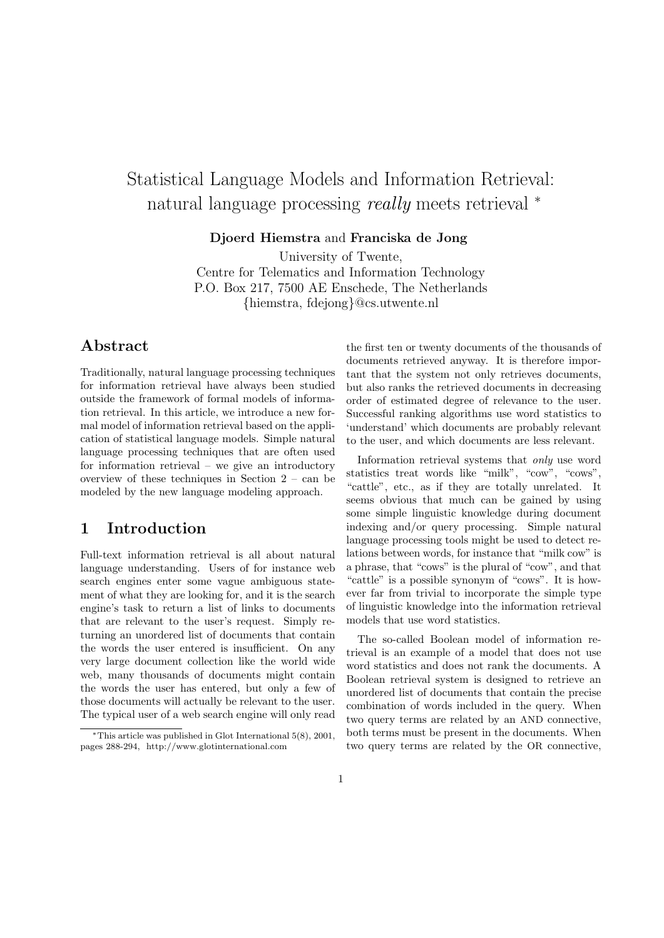# Statistical Language Models and Information Retrieval: natural language processing *really* meets retrieval <sup>∗</sup>

Djoerd Hiemstra and Franciska de Jong

University of Twente, Centre for Telematics and Information Technology P.O. Box 217, 7500 AE Enschede, The Netherlands {hiemstra, fdejong}@cs.utwente.nl

## Abstract

Traditionally, natural language processing techniques for information retrieval have always been studied outside the framework of formal models of information retrieval. In this article, we introduce a new formal model of information retrieval based on the application of statistical language models. Simple natural language processing techniques that are often used for information retrieval – we give an introductory overview of these techniques in Section 2 – can be modeled by the new language modeling approach.

## 1 Introduction

Full-text information retrieval is all about natural language understanding. Users of for instance web search engines enter some vague ambiguous statement of what they are looking for, and it is the search engine's task to return a list of links to documents that are relevant to the user's request. Simply returning an unordered list of documents that contain the words the user entered is insufficient. On any very large document collection like the world wide web, many thousands of documents might contain the words the user has entered, but only a few of those documents will actually be relevant to the user. The typical user of a web search engine will only read the first ten or twenty documents of the thousands of documents retrieved anyway. It is therefore important that the system not only retrieves documents, but also ranks the retrieved documents in decreasing order of estimated degree of relevance to the user. Successful ranking algorithms use word statistics to 'understand' which documents are probably relevant to the user, and which documents are less relevant.

Information retrieval systems that only use word statistics treat words like "milk", "cow", "cows", "cattle", etc., as if they are totally unrelated. It seems obvious that much can be gained by using some simple linguistic knowledge during document indexing and/or query processing. Simple natural language processing tools might be used to detect relations between words, for instance that "milk cow" is a phrase, that "cows" is the plural of "cow", and that "cattle" is a possible synonym of "cows". It is however far from trivial to incorporate the simple type of linguistic knowledge into the information retrieval models that use word statistics.

The so-called Boolean model of information retrieval is an example of a model that does not use word statistics and does not rank the documents. A Boolean retrieval system is designed to retrieve an unordered list of documents that contain the precise combination of words included in the query. When two query terms are related by an AND connective, both terms must be present in the documents. When two query terms are related by the OR connective,

<sup>∗</sup>This article was published in Glot International 5(8), 2001, pages 288-294, http://www.glotinternational.com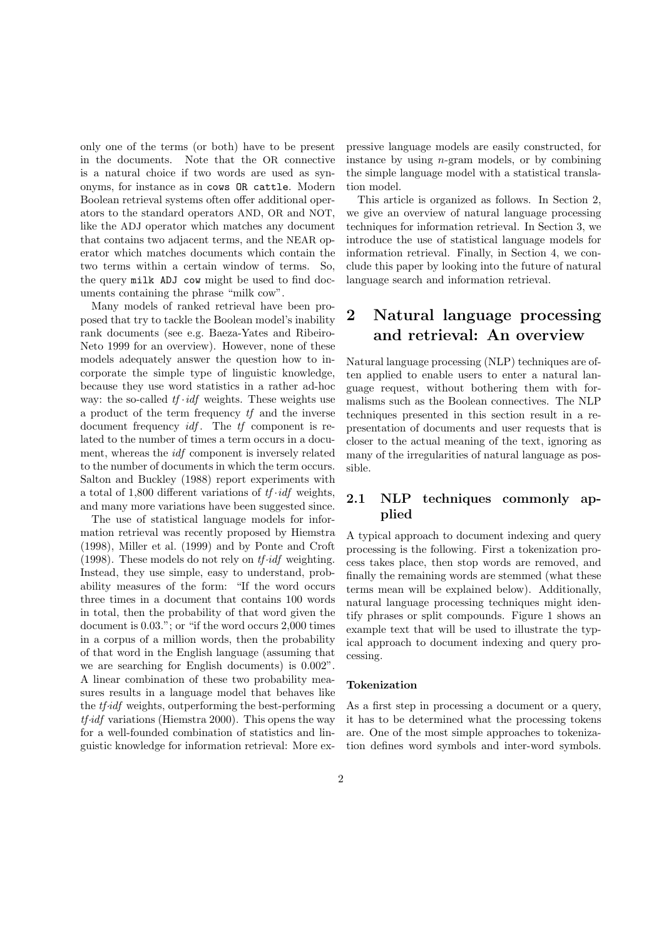only one of the terms (or both) have to be present in the documents. Note that the OR connective is a natural choice if two words are used as synonyms, for instance as in cows OR cattle. Modern Boolean retrieval systems often offer additional operators to the standard operators AND, OR and NOT, like the ADJ operator which matches any document that contains two adjacent terms, and the NEAR operator which matches documents which contain the two terms within a certain window of terms. So, the query milk ADJ cow might be used to find documents containing the phrase "milk cow".

Many models of ranked retrieval have been proposed that try to tackle the Boolean model's inability rank documents (see e.g. Baeza-Yates and Ribeiro-Neto 1999 for an overview). However, none of these models adequately answer the question how to incorporate the simple type of linguistic knowledge, because they use word statistics in a rather ad-hoc way: the so-called  $tf \cdot idf$  weights. These weights use a product of the term frequency tf and the inverse document frequency  $\mathit{id}f$ . The  $\mathit{tf}$  component is related to the number of times a term occurs in a document, whereas the idf component is inversely related to the number of documents in which the term occurs. Salton and Buckley (1988) report experiments with a total of 1,800 different variations of  $tf \cdot idf$  weights, and many more variations have been suggested since.

The use of statistical language models for information retrieval was recently proposed by Hiemstra (1998), Miller et al. (1999) and by Ponte and Croft (1998). These models do not rely on  $tf \cdot idf$  weighting. Instead, they use simple, easy to understand, probability measures of the form: "If the word occurs three times in a document that contains 100 words in total, then the probability of that word given the document is 0.03."; or "if the word occurs 2,000 times in a corpus of a million words, then the probability of that word in the English language (assuming that we are searching for English documents) is 0.002". A linear combination of these two probability measures results in a language model that behaves like the tf·idf weights, outperforming the best-performing  $tf\text{-}idf$  variations (Hiemstra 2000). This opens the way for a well-founded combination of statistics and linguistic knowledge for information retrieval: More expressive language models are easily constructed, for instance by using  $n$ -gram models, or by combining the simple language model with a statistical translation model.

This article is organized as follows. In Section 2, we give an overview of natural language processing techniques for information retrieval. In Section 3, we introduce the use of statistical language models for information retrieval. Finally, in Section 4, we conclude this paper by looking into the future of natural language search and information retrieval.

## 2 Natural language processing and retrieval: An overview

Natural language processing (NLP) techniques are often applied to enable users to enter a natural language request, without bothering them with formalisms such as the Boolean connectives. The NLP techniques presented in this section result in a representation of documents and user requests that is closer to the actual meaning of the text, ignoring as many of the irregularities of natural language as possible.

## 2.1 NLP techniques commonly applied

A typical approach to document indexing and query processing is the following. First a tokenization process takes place, then stop words are removed, and finally the remaining words are stemmed (what these terms mean will be explained below). Additionally, natural language processing techniques might identify phrases or split compounds. Figure 1 shows an example text that will be used to illustrate the typical approach to document indexing and query processing.

#### Tokenization

As a first step in processing a document or a query, it has to be determined what the processing tokens are. One of the most simple approaches to tokenization defines word symbols and inter-word symbols.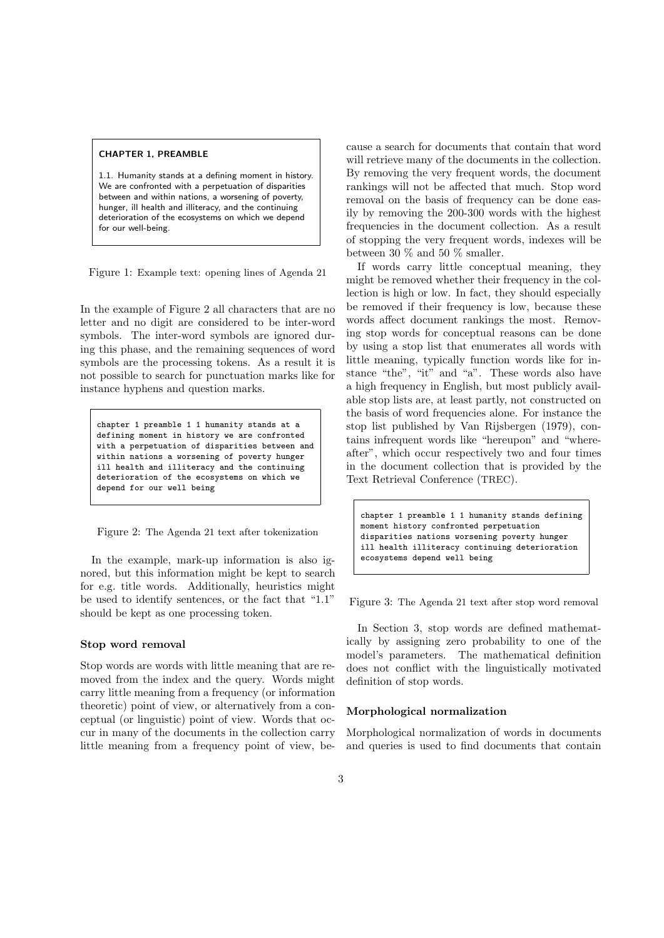#### CHAPTER 1, PREAMBLE

1.1. Humanity stands at a defining moment in history. We are confronted with a perpetuation of disparities between and within nations, a worsening of poverty, hunger, ill health and illiteracy, and the continuing deterioration of the ecosystems on which we depend for our well-being.

Figure 1: Example text: opening lines of Agenda 21

In the example of Figure 2 all characters that are no letter and no digit are considered to be inter-word symbols. The inter-word symbols are ignored during this phase, and the remaining sequences of word symbols are the processing tokens. As a result it is not possible to search for punctuation marks like for instance hyphens and question marks.

chapter 1 preamble 1 1 humanity stands at a defining moment in history we are confronted with a perpetuation of disparities between and within nations a worsening of poverty hunger ill health and illiteracy and the continuing deterioration of the ecosystems on which we depend for our well being

Figure 2: The Agenda 21 text after tokenization

In the example, mark-up information is also ignored, but this information might be kept to search for e.g. title words. Additionally, heuristics might be used to identify sentences, or the fact that "1.1" should be kept as one processing token.

#### Stop word removal

Stop words are words with little meaning that are removed from the index and the query. Words might carry little meaning from a frequency (or information theoretic) point of view, or alternatively from a conceptual (or linguistic) point of view. Words that occur in many of the documents in the collection carry little meaning from a frequency point of view, because a search for documents that contain that word will retrieve many of the documents in the collection. By removing the very frequent words, the document rankings will not be affected that much. Stop word removal on the basis of frequency can be done easily by removing the 200-300 words with the highest frequencies in the document collection. As a result of stopping the very frequent words, indexes will be between 30 % and 50 % smaller.

If words carry little conceptual meaning, they might be removed whether their frequency in the collection is high or low. In fact, they should especially be removed if their frequency is low, because these words affect document rankings the most. Removing stop words for conceptual reasons can be done by using a stop list that enumerates all words with little meaning, typically function words like for instance "the", "it" and "a". These words also have a high frequency in English, but most publicly available stop lists are, at least partly, not constructed on the basis of word frequencies alone. For instance the stop list published by Van Rijsbergen (1979), contains infrequent words like "hereupon" and "whereafter", which occur respectively two and four times in the document collection that is provided by the Text Retrieval Conference (TREC).

chapter 1 preamble 1 1 humanity stands defining moment history confronted perpetuation disparities nations worsening poverty hunger ill health illiteracy continuing deterioration ecosystems depend well being

Figure 3: The Agenda 21 text after stop word removal

In Section 3, stop words are defined mathematically by assigning zero probability to one of the model's parameters. The mathematical definition does not conflict with the linguistically motivated definition of stop words.

#### Morphological normalization

Morphological normalization of words in documents and queries is used to find documents that contain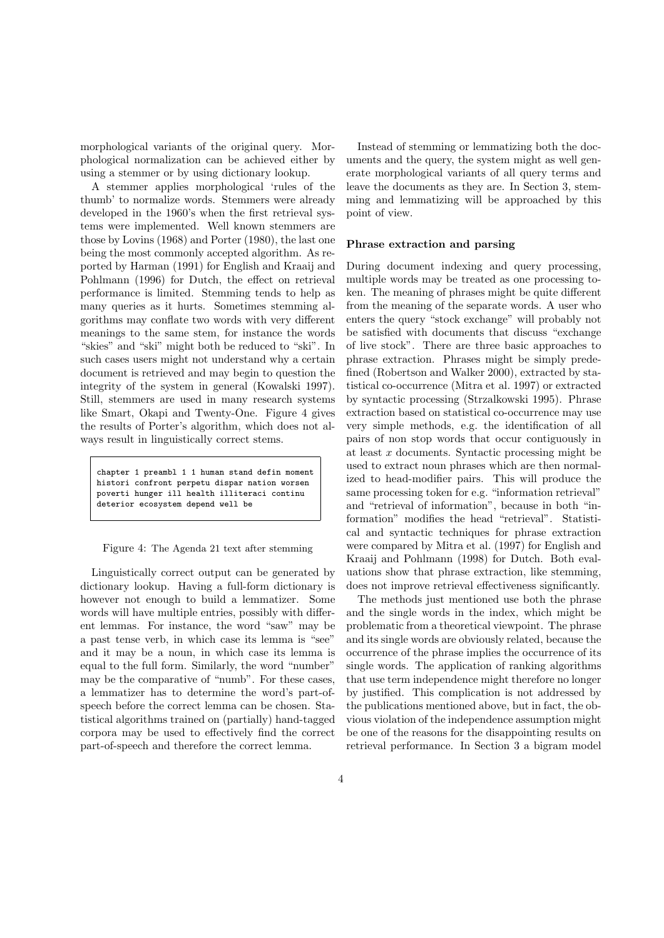morphological variants of the original query. Morphological normalization can be achieved either by using a stemmer or by using dictionary lookup.

A stemmer applies morphological 'rules of the thumb' to normalize words. Stemmers were already developed in the 1960's when the first retrieval systems were implemented. Well known stemmers are those by Lovins (1968) and Porter (1980), the last one being the most commonly accepted algorithm. As reported by Harman (1991) for English and Kraaij and Pohlmann (1996) for Dutch, the effect on retrieval performance is limited. Stemming tends to help as many queries as it hurts. Sometimes stemming algorithms may conflate two words with very different meanings to the same stem, for instance the words "skies" and "ski" might both be reduced to "ski". In such cases users might not understand why a certain document is retrieved and may begin to question the integrity of the system in general (Kowalski 1997). Still, stemmers are used in many research systems like Smart, Okapi and Twenty-One. Figure 4 gives the results of Porter's algorithm, which does not always result in linguistically correct stems.

chapter 1 preambl 1 1 human stand defin moment histori confront perpetu dispar nation worsen poverti hunger ill health illiteraci continu deterior ecosystem depend well be

Figure 4: The Agenda 21 text after stemming

Linguistically correct output can be generated by dictionary lookup. Having a full-form dictionary is however not enough to build a lemmatizer. Some words will have multiple entries, possibly with different lemmas. For instance, the word "saw" may be a past tense verb, in which case its lemma is "see" and it may be a noun, in which case its lemma is equal to the full form. Similarly, the word "number" may be the comparative of "numb". For these cases, a lemmatizer has to determine the word's part-ofspeech before the correct lemma can be chosen. Statistical algorithms trained on (partially) hand-tagged corpora may be used to effectively find the correct part-of-speech and therefore the correct lemma.

Instead of stemming or lemmatizing both the documents and the query, the system might as well generate morphological variants of all query terms and leave the documents as they are. In Section 3, stemming and lemmatizing will be approached by this point of view.

#### Phrase extraction and parsing

During document indexing and query processing, multiple words may be treated as one processing token. The meaning of phrases might be quite different from the meaning of the separate words. A user who enters the query "stock exchange" will probably not be satisfied with documents that discuss "exchange of live stock". There are three basic approaches to phrase extraction. Phrases might be simply predefined (Robertson and Walker 2000), extracted by statistical co-occurrence (Mitra et al. 1997) or extracted by syntactic processing (Strzalkowski 1995). Phrase extraction based on statistical co-occurrence may use very simple methods, e.g. the identification of all pairs of non stop words that occur contiguously in at least x documents. Syntactic processing might be used to extract noun phrases which are then normalized to head-modifier pairs. This will produce the same processing token for e.g. "information retrieval" and "retrieval of information", because in both "information" modifies the head "retrieval". Statistical and syntactic techniques for phrase extraction were compared by Mitra et al. (1997) for English and Kraaij and Pohlmann (1998) for Dutch. Both evaluations show that phrase extraction, like stemming, does not improve retrieval effectiveness significantly.

The methods just mentioned use both the phrase and the single words in the index, which might be problematic from a theoretical viewpoint. The phrase and its single words are obviously related, because the occurrence of the phrase implies the occurrence of its single words. The application of ranking algorithms that use term independence might therefore no longer by justified. This complication is not addressed by the publications mentioned above, but in fact, the obvious violation of the independence assumption might be one of the reasons for the disappointing results on retrieval performance. In Section 3 a bigram model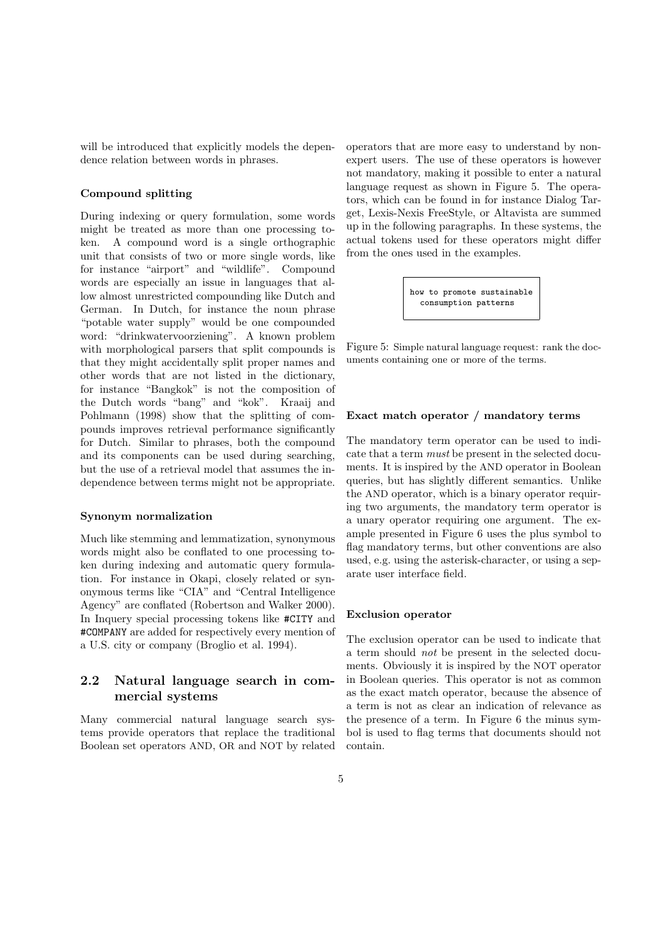will be introduced that explicitly models the dependence relation between words in phrases.

#### Compound splitting

During indexing or query formulation, some words might be treated as more than one processing token. A compound word is a single orthographic unit that consists of two or more single words, like for instance "airport" and "wildlife". Compound words are especially an issue in languages that allow almost unrestricted compounding like Dutch and German. In Dutch, for instance the noun phrase "potable water supply" would be one compounded word: "drinkwatervoorziening". A known problem with morphological parsers that split compounds is that they might accidentally split proper names and other words that are not listed in the dictionary, for instance "Bangkok" is not the composition of the Dutch words "bang" and "kok". Kraaij and Pohlmann (1998) show that the splitting of compounds improves retrieval performance significantly for Dutch. Similar to phrases, both the compound and its components can be used during searching, but the use of a retrieval model that assumes the independence between terms might not be appropriate.

#### Synonym normalization

Much like stemming and lemmatization, synonymous words might also be conflated to one processing token during indexing and automatic query formulation. For instance in Okapi, closely related or synonymous terms like "CIA" and "Central Intelligence Agency" are conflated (Robertson and Walker 2000). In Inquery special processing tokens like #CITY and #COMPANY are added for respectively every mention of a U.S. city or company (Broglio et al. 1994).

## 2.2 Natural language search in commercial systems

Many commercial natural language search systems provide operators that replace the traditional Boolean set operators AND, OR and NOT by related operators that are more easy to understand by nonexpert users. The use of these operators is however not mandatory, making it possible to enter a natural language request as shown in Figure 5. The operators, which can be found in for instance Dialog Target, Lexis-Nexis FreeStyle, or Altavista are summed up in the following paragraphs. In these systems, the actual tokens used for these operators might differ from the ones used in the examples.

> how to promote sustainable consumption patterns

Figure 5: Simple natural language request: rank the documents containing one or more of the terms.

#### Exact match operator / mandatory terms

The mandatory term operator can be used to indicate that a term must be present in the selected documents. It is inspired by the AND operator in Boolean queries, but has slightly different semantics. Unlike the AND operator, which is a binary operator requiring two arguments, the mandatory term operator is a unary operator requiring one argument. The example presented in Figure 6 uses the plus symbol to flag mandatory terms, but other conventions are also used, e.g. using the asterisk-character, or using a separate user interface field.

#### Exclusion operator

The exclusion operator can be used to indicate that a term should not be present in the selected documents. Obviously it is inspired by the NOT operator in Boolean queries. This operator is not as common as the exact match operator, because the absence of a term is not as clear an indication of relevance as the presence of a term. In Figure 6 the minus symbol is used to flag terms that documents should not contain.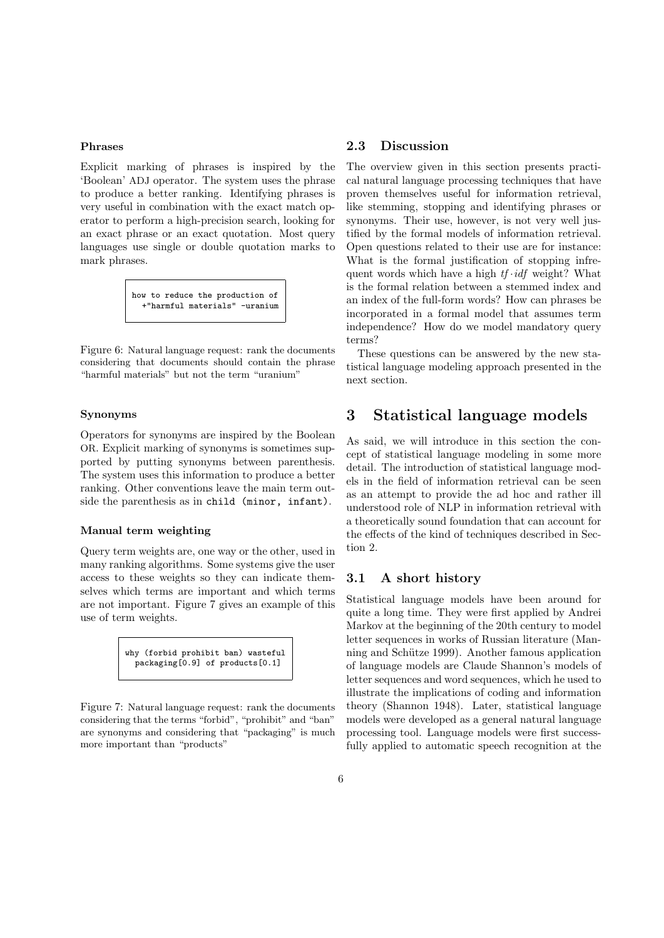#### Phrases

Explicit marking of phrases is inspired by the 'Boolean' ADJ operator. The system uses the phrase to produce a better ranking. Identifying phrases is very useful in combination with the exact match operator to perform a high-precision search, looking for an exact phrase or an exact quotation. Most query languages use single or double quotation marks to mark phrases.

> how to reduce the production of +"harmful materials" -uranium

Figure 6: Natural language request: rank the documents considering that documents should contain the phrase "harmful materials" but not the term "uranium"

#### Synonyms

Operators for synonyms are inspired by the Boolean OR. Explicit marking of synonyms is sometimes supported by putting synonyms between parenthesis. The system uses this information to produce a better ranking. Other conventions leave the main term outside the parenthesis as in child (minor, infant).

#### Manual term weighting

Query term weights are, one way or the other, used in many ranking algorithms. Some systems give the user access to these weights so they can indicate themselves which terms are important and which terms are not important. Figure 7 gives an example of this use of term weights.



Figure 7: Natural language request: rank the documents considering that the terms "forbid", "prohibit" and "ban" are synonyms and considering that "packaging" is much more important than "products"

### 2.3 Discussion

The overview given in this section presents practical natural language processing techniques that have proven themselves useful for information retrieval, like stemming, stopping and identifying phrases or synonyms. Their use, however, is not very well justified by the formal models of information retrieval. Open questions related to their use are for instance: What is the formal justification of stopping infrequent words which have a high  $tf \cdot idf$  weight? What is the formal relation between a stemmed index and an index of the full-form words? How can phrases be incorporated in a formal model that assumes term independence? How do we model mandatory query terms?

These questions can be answered by the new statistical language modeling approach presented in the next section.

## 3 Statistical language models

As said, we will introduce in this section the concept of statistical language modeling in some more detail. The introduction of statistical language models in the field of information retrieval can be seen as an attempt to provide the ad hoc and rather ill understood role of NLP in information retrieval with a theoretically sound foundation that can account for the effects of the kind of techniques described in Section 2.

### 3.1 A short history

Statistical language models have been around for quite a long time. They were first applied by Andrei Markov at the beginning of the 20th century to model letter sequences in works of Russian literature (Manning and Schütze 1999). Another famous application of language models are Claude Shannon's models of letter sequences and word sequences, which he used to illustrate the implications of coding and information theory (Shannon 1948). Later, statistical language models were developed as a general natural language processing tool. Language models were first successfully applied to automatic speech recognition at the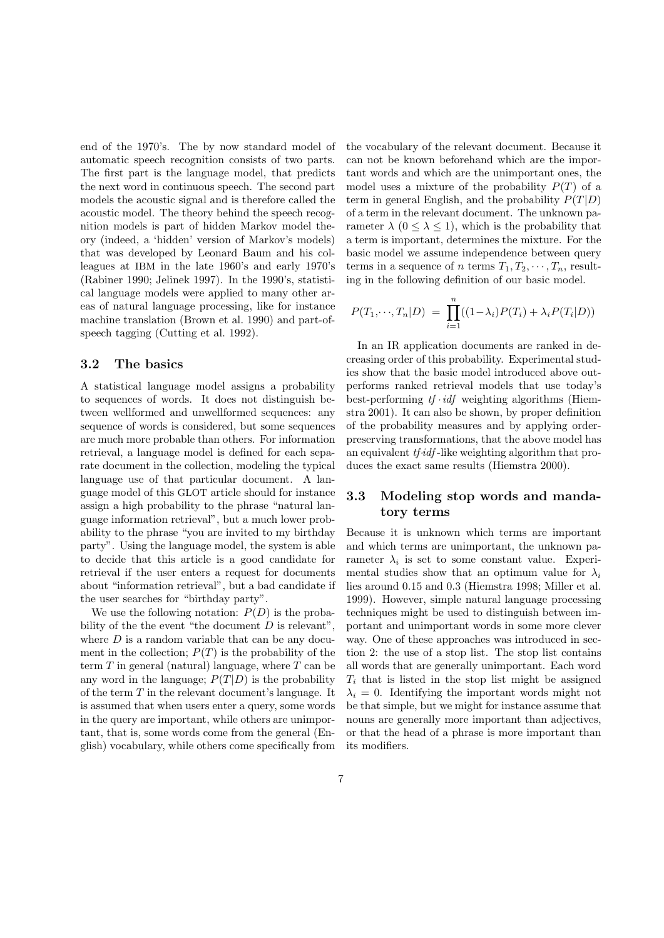end of the 1970's. The by now standard model of automatic speech recognition consists of two parts. The first part is the language model, that predicts the next word in continuous speech. The second part models the acoustic signal and is therefore called the acoustic model. The theory behind the speech recognition models is part of hidden Markov model theory (indeed, a 'hidden' version of Markov's models) that was developed by Leonard Baum and his colleagues at IBM in the late 1960's and early 1970's (Rabiner 1990; Jelinek 1997). In the 1990's, statistical language models were applied to many other areas of natural language processing, like for instance machine translation (Brown et al. 1990) and part-ofspeech tagging (Cutting et al. 1992).

#### 3.2 The basics

A statistical language model assigns a probability to sequences of words. It does not distinguish between wellformed and unwellformed sequences: any sequence of words is considered, but some sequences are much more probable than others. For information retrieval, a language model is defined for each separate document in the collection, modeling the typical language use of that particular document. A language model of this GLOT article should for instance assign a high probability to the phrase "natural language information retrieval", but a much lower probability to the phrase "you are invited to my birthday party". Using the language model, the system is able to decide that this article is a good candidate for retrieval if the user enters a request for documents about "information retrieval", but a bad candidate if the user searches for "birthday party".

We use the following notation:  $P(D)$  is the probability of the the event "the document  $D$  is relevant", where  $D$  is a random variable that can be any document in the collection;  $P(T)$  is the probability of the term  $T$  in general (natural) language, where  $T$  can be any word in the language;  $P(T|D)$  is the probability of the term T in the relevant document's language. It is assumed that when users enter a query, some words in the query are important, while others are unimportant, that is, some words come from the general (English) vocabulary, while others come specifically from the vocabulary of the relevant document. Because it can not be known beforehand which are the important words and which are the unimportant ones, the model uses a mixture of the probability  $P(T)$  of a term in general English, and the probability  $P(T|D)$ of a term in the relevant document. The unknown parameter  $\lambda$  ( $0 \leq \lambda \leq 1$ ), which is the probability that a term is important, determines the mixture. For the basic model we assume independence between query terms in a sequence of n terms  $T_1, T_2, \cdots, T_n$ , resulting in the following definition of our basic model.

$$
P(T_1,\dots,T_n|D) = \prod_{i=1}^n ((1-\lambda_i)P(T_i) + \lambda_i P(T_i|D))
$$

In an IR application documents are ranked in decreasing order of this probability. Experimental studies show that the basic model introduced above outperforms ranked retrieval models that use today's best-performing  $tf \cdot idf$  weighting algorithms (Hiemstra 2001). It can also be shown, by proper definition of the probability measures and by applying orderpreserving transformations, that the above model has an equivalent *tf-idf*-like weighting algorithm that produces the exact same results (Hiemstra 2000).

## 3.3 Modeling stop words and mandatory terms

Because it is unknown which terms are important and which terms are unimportant, the unknown parameter  $\lambda_i$  is set to some constant value. Experimental studies show that an optimum value for  $\lambda_i$ lies around 0.15 and 0.3 (Hiemstra 1998; Miller et al. 1999). However, simple natural language processing techniques might be used to distinguish between important and unimportant words in some more clever way. One of these approaches was introduced in section 2: the use of a stop list. The stop list contains all words that are generally unimportant. Each word  $T_i$  that is listed in the stop list might be assigned  $\lambda_i = 0$ . Identifying the important words might not be that simple, but we might for instance assume that nouns are generally more important than adjectives, or that the head of a phrase is more important than its modifiers.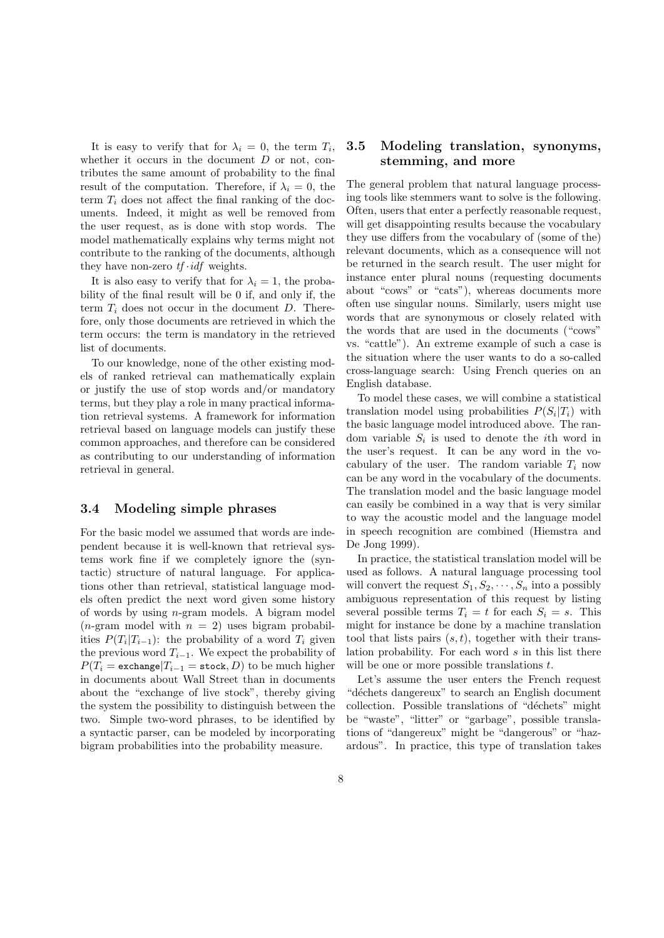It is easy to verify that for  $\lambda_i = 0$ , the term  $T_i$ , whether it occurs in the document  $D$  or not, contributes the same amount of probability to the final result of the computation. Therefore, if  $\lambda_i = 0$ , the term  $T_i$  does not affect the final ranking of the documents. Indeed, it might as well be removed from the user request, as is done with stop words. The model mathematically explains why terms might not contribute to the ranking of the documents, although they have non-zero  $tf \cdot idf$  weights.

It is also easy to verify that for  $\lambda_i = 1$ , the probability of the final result will be 0 if, and only if, the term  $T_i$  does not occur in the document D. Therefore, only those documents are retrieved in which the term occurs: the term is mandatory in the retrieved list of documents.

To our knowledge, none of the other existing models of ranked retrieval can mathematically explain or justify the use of stop words and/or mandatory terms, but they play a role in many practical information retrieval systems. A framework for information retrieval based on language models can justify these common approaches, and therefore can be considered as contributing to our understanding of information retrieval in general.

#### 3.4 Modeling simple phrases

For the basic model we assumed that words are independent because it is well-known that retrieval systems work fine if we completely ignore the (syntactic) structure of natural language. For applications other than retrieval, statistical language models often predict the next word given some history of words by using n-gram models. A bigram model (*n*-gram model with  $n = 2$ ) uses bigram probabilities  $P(T_i|T_{i-1})$ : the probability of a word  $T_i$  given the previous word  $T_{i-1}$ . We expect the probability of  $P(T_i = \text{exchange} | T_{i-1} = \text{stock}, D)$  to be much higher in documents about Wall Street than in documents about the "exchange of live stock", thereby giving the system the possibility to distinguish between the two. Simple two-word phrases, to be identified by a syntactic parser, can be modeled by incorporating bigram probabilities into the probability measure.

## 3.5 Modeling translation, synonyms, stemming, and more

The general problem that natural language processing tools like stemmers want to solve is the following. Often, users that enter a perfectly reasonable request, will get disappointing results because the vocabulary they use differs from the vocabulary of (some of the) relevant documents, which as a consequence will not be returned in the search result. The user might for instance enter plural nouns (requesting documents about "cows" or "cats"), whereas documents more often use singular nouns. Similarly, users might use words that are synonymous or closely related with the words that are used in the documents ("cows" vs. "cattle"). An extreme example of such a case is the situation where the user wants to do a so-called cross-language search: Using French queries on an English database.

To model these cases, we will combine a statistical translation model using probabilities  $P(S_i|T_i)$  with the basic language model introduced above. The random variable  $S_i$  is used to denote the *i*<sup>th</sup> word in the user's request. It can be any word in the vocabulary of the user. The random variable  $T_i$  now can be any word in the vocabulary of the documents. The translation model and the basic language model can easily be combined in a way that is very similar to way the acoustic model and the language model in speech recognition are combined (Hiemstra and De Jong 1999).

In practice, the statistical translation model will be used as follows. A natural language processing tool will convert the request  $S_1, S_2, \cdots, S_n$  into a possibly ambiguous representation of this request by listing several possible terms  $T_i = t$  for each  $S_i = s$ . This might for instance be done by a machine translation tool that lists pairs  $(s, t)$ , together with their translation probability. For each word s in this list there will be one or more possible translations  $t$ .

Let's assume the user enters the French request "déchets dangereux" to search an English document collection. Possible translations of "déchets" might be "waste", "litter" or "garbage", possible translations of "dangereux" might be "dangerous" or "hazardous". In practice, this type of translation takes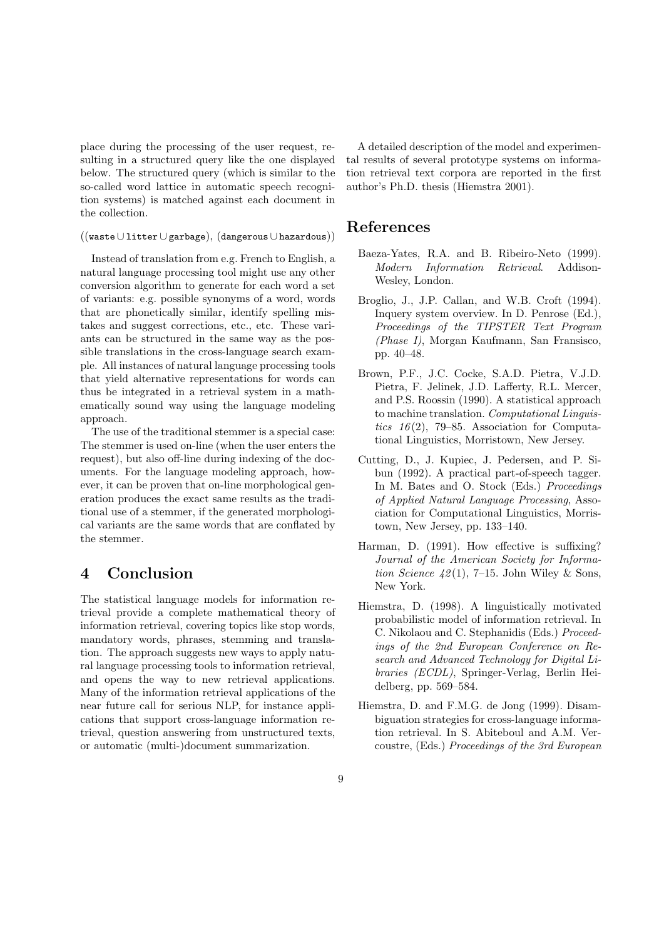place during the processing of the user request, resulting in a structured query like the one displayed below. The structured query (which is similar to the so-called word lattice in automatic speech recognition systems) is matched against each document in the collection.

#### ((waste∪litter∪garbage), (dangerous ∪hazardous))

Instead of translation from e.g. French to English, a natural language processing tool might use any other conversion algorithm to generate for each word a set of variants: e.g. possible synonyms of a word, words that are phonetically similar, identify spelling mistakes and suggest corrections, etc., etc. These variants can be structured in the same way as the possible translations in the cross-language search example. All instances of natural language processing tools that yield alternative representations for words can thus be integrated in a retrieval system in a mathematically sound way using the language modeling approach.

The use of the traditional stemmer is a special case: The stemmer is used on-line (when the user enters the request), but also off-line during indexing of the documents. For the language modeling approach, however, it can be proven that on-line morphological generation produces the exact same results as the traditional use of a stemmer, if the generated morphological variants are the same words that are conflated by the stemmer.

## 4 Conclusion

The statistical language models for information retrieval provide a complete mathematical theory of information retrieval, covering topics like stop words, mandatory words, phrases, stemming and translation. The approach suggests new ways to apply natural language processing tools to information retrieval, and opens the way to new retrieval applications. Many of the information retrieval applications of the near future call for serious NLP, for instance applications that support cross-language information retrieval, question answering from unstructured texts, or automatic (multi-)document summarization.

A detailed description of the model and experimental results of several prototype systems on information retrieval text corpora are reported in the first author's Ph.D. thesis (Hiemstra 2001).

## References

- Baeza-Yates, R.A. and B. Ribeiro-Neto (1999). Modern Information Retrieval. Addison-Wesley, London.
- Broglio, J., J.P. Callan, and W.B. Croft (1994). Inquery system overview. In D. Penrose (Ed.), Proceedings of the TIPSTER Text Program (Phase I), Morgan Kaufmann, San Fransisco, pp. 40–48.
- Brown, P.F., J.C. Cocke, S.A.D. Pietra, V.J.D. Pietra, F. Jelinek, J.D. Lafferty, R.L. Mercer, and P.S. Roossin (1990). A statistical approach to machine translation. Computational Linguistics  $16(2)$ , 79–85. Association for Computational Linguistics, Morristown, New Jersey.
- Cutting, D., J. Kupiec, J. Pedersen, and P. Sibun (1992). A practical part-of-speech tagger. In M. Bates and O. Stock (Eds.) Proceedings of Applied Natural Language Processing, Association for Computational Linguistics, Morristown, New Jersey, pp. 133–140.
- Harman, D. (1991). How effective is suffixing? Journal of the American Society for Information Science  $42(1)$ , 7-15. John Wiley & Sons, New York.
- Hiemstra, D. (1998). A linguistically motivated probabilistic model of information retrieval. In C. Nikolaou and C. Stephanidis (Eds.) Proceedings of the 2nd European Conference on Research and Advanced Technology for Digital Libraries (ECDL), Springer-Verlag, Berlin Heidelberg, pp. 569–584.
- Hiemstra, D. and F.M.G. de Jong (1999). Disambiguation strategies for cross-language information retrieval. In S. Abiteboul and A.M. Vercoustre, (Eds.) Proceedings of the 3rd European